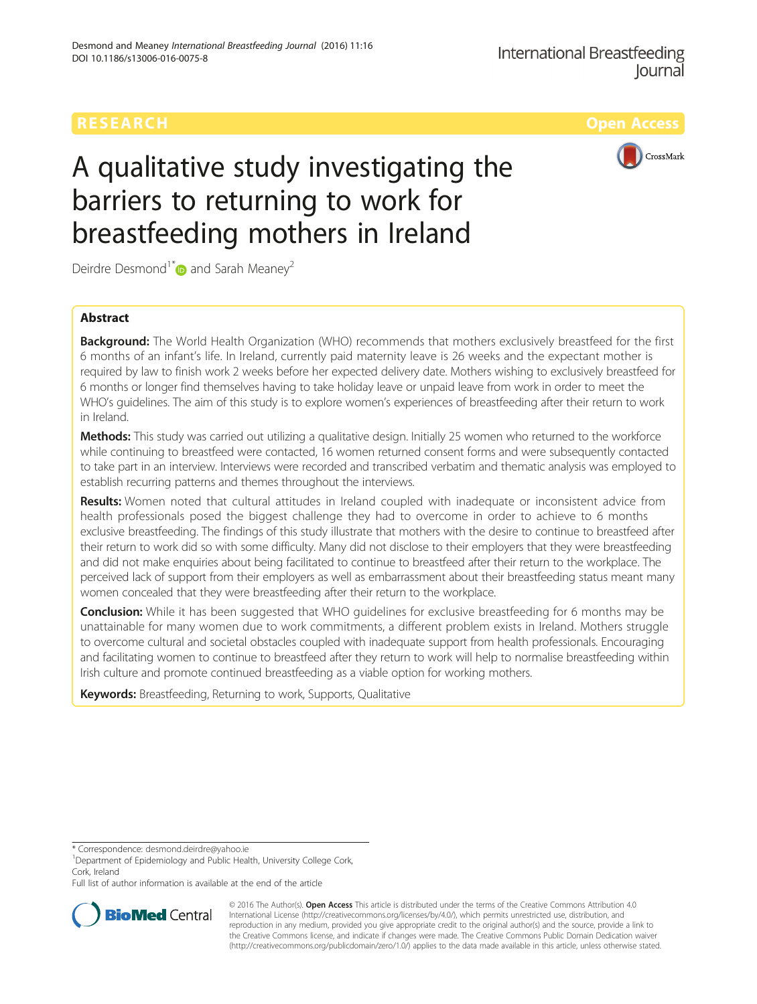# **RESEARCH CHILD CONTROL** CONTROL CONTROL CONTROL CONTROL CONTROL CONTROL CONTROL CONTROL CONTROL CONTROL CONTROL CONTROL CONTROL CONTROL CONTROL CONTROL CONTROL CONTROL CONTROL CONTROL CONTROL CONTROL CONTROL CONTROL CONTR



# A qualitative study investigating the barriers to returning to work for breastfeeding mothers in Ireland

Deirdre Desmond<sup>1[\\*](http://orcid.org/0000-0002-0834-7434)</sup> and Sarah Meaney<sup>2</sup>

# Abstract

**Background:** The World Health Organization (WHO) recommends that mothers exclusively breastfeed for the first 6 months of an infant's life. In Ireland, currently paid maternity leave is 26 weeks and the expectant mother is required by law to finish work 2 weeks before her expected delivery date. Mothers wishing to exclusively breastfeed for 6 months or longer find themselves having to take holiday leave or unpaid leave from work in order to meet the WHO's guidelines. The aim of this study is to explore women's experiences of breastfeeding after their return to work in Ireland.

Methods: This study was carried out utilizing a qualitative design. Initially 25 women who returned to the workforce while continuing to breastfeed were contacted, 16 women returned consent forms and were subsequently contacted to take part in an interview. Interviews were recorded and transcribed verbatim and thematic analysis was employed to establish recurring patterns and themes throughout the interviews.

Results: Women noted that cultural attitudes in Ireland coupled with inadequate or inconsistent advice from health professionals posed the biggest challenge they had to overcome in order to achieve to 6 months exclusive breastfeeding. The findings of this study illustrate that mothers with the desire to continue to breastfeed after their return to work did so with some difficulty. Many did not disclose to their employers that they were breastfeeding and did not make enquiries about being facilitated to continue to breastfeed after their return to the workplace. The perceived lack of support from their employers as well as embarrassment about their breastfeeding status meant many women concealed that they were breastfeeding after their return to the workplace.

**Conclusion:** While it has been suggested that WHO guidelines for exclusive breastfeeding for 6 months may be unattainable for many women due to work commitments, a different problem exists in Ireland. Mothers struggle to overcome cultural and societal obstacles coupled with inadequate support from health professionals. Encouraging and facilitating women to continue to breastfeed after they return to work will help to normalise breastfeeding within Irish culture and promote continued breastfeeding as a viable option for working mothers.

Keywords: Breastfeeding, Returning to work, Supports, Qualitative

\* Correspondence: [desmond.deirdre@yahoo.ie](mailto:desmond.deirdre@yahoo.ie) <sup>1</sup>

<sup>1</sup>Department of Epidemiology and Public Health, University College Cork, Cork, Ireland

Full list of author information is available at the end of the article



© 2016 The Author(s). Open Access This article is distributed under the terms of the Creative Commons Attribution 4.0 International License [\(http://creativecommons.org/licenses/by/4.0/](http://creativecommons.org/licenses/by/4.0/)), which permits unrestricted use, distribution, and reproduction in any medium, provided you give appropriate credit to the original author(s) and the source, provide a link to the Creative Commons license, and indicate if changes were made. The Creative Commons Public Domain Dedication waiver [\(http://creativecommons.org/publicdomain/zero/1.0/](http://creativecommons.org/publicdomain/zero/1.0/)) applies to the data made available in this article, unless otherwise stated.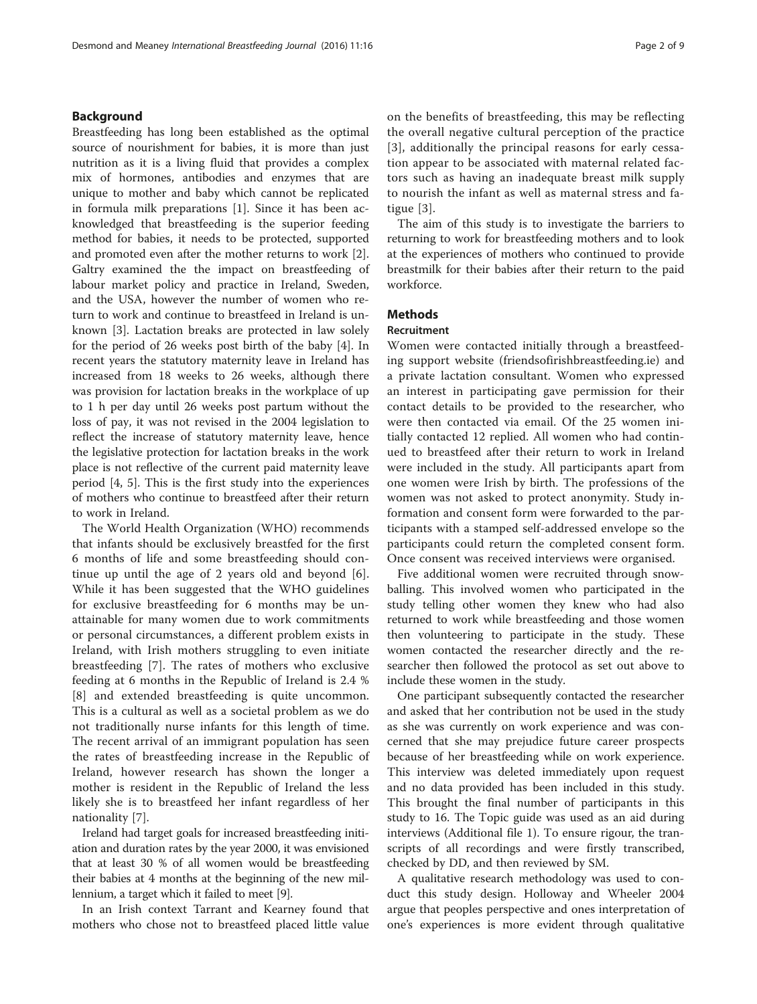# Background

Breastfeeding has long been established as the optimal source of nourishment for babies, it is more than just nutrition as it is a living fluid that provides a complex mix of hormones, antibodies and enzymes that are unique to mother and baby which cannot be replicated in formula milk preparations [\[1](#page-8-0)]. Since it has been acknowledged that breastfeeding is the superior feeding method for babies, it needs to be protected, supported and promoted even after the mother returns to work [\[2](#page-8-0)]. Galtry examined the the impact on breastfeeding of labour market policy and practice in Ireland, Sweden, and the USA, however the number of women who return to work and continue to breastfeed in Ireland is unknown [[3](#page-8-0)]. Lactation breaks are protected in law solely for the period of 26 weeks post birth of the baby [\[4](#page-8-0)]. In recent years the statutory maternity leave in Ireland has increased from 18 weeks to 26 weeks, although there was provision for lactation breaks in the workplace of up to 1 h per day until 26 weeks post partum without the loss of pay, it was not revised in the 2004 legislation to reflect the increase of statutory maternity leave, hence the legislative protection for lactation breaks in the work place is not reflective of the current paid maternity leave period [[4](#page-8-0), [5](#page-8-0)]. This is the first study into the experiences of mothers who continue to breastfeed after their return to work in Ireland.

The World Health Organization (WHO) recommends that infants should be exclusively breastfed for the first 6 months of life and some breastfeeding should continue up until the age of 2 years old and beyond [\[6](#page-8-0)]. While it has been suggested that the WHO guidelines for exclusive breastfeeding for 6 months may be unattainable for many women due to work commitments or personal circumstances, a different problem exists in Ireland, with Irish mothers struggling to even initiate breastfeeding [[7\]](#page-8-0). The rates of mothers who exclusive feeding at 6 months in the Republic of Ireland is 2.4 % [[8\]](#page-8-0) and extended breastfeeding is quite uncommon. This is a cultural as well as a societal problem as we do not traditionally nurse infants for this length of time. The recent arrival of an immigrant population has seen the rates of breastfeeding increase in the Republic of Ireland, however research has shown the longer a mother is resident in the Republic of Ireland the less likely she is to breastfeed her infant regardless of her nationality [[7](#page-8-0)].

Ireland had target goals for increased breastfeeding initiation and duration rates by the year 2000, it was envisioned that at least 30 % of all women would be breastfeeding their babies at 4 months at the beginning of the new millennium, a target which it failed to meet [[9](#page-8-0)].

In an Irish context Tarrant and Kearney found that mothers who chose not to breastfeed placed little value on the benefits of breastfeeding, this may be reflecting the overall negative cultural perception of the practice [[3](#page-8-0)], additionally the principal reasons for early cessation appear to be associated with maternal related factors such as having an inadequate breast milk supply to nourish the infant as well as maternal stress and fatigue [[3](#page-8-0)].

The aim of this study is to investigate the barriers to returning to work for breastfeeding mothers and to look at the experiences of mothers who continued to provide breastmilk for their babies after their return to the paid workforce.

# **Methods**

# Recruitment

Women were contacted initially through a breastfeeding support website (friendsofirishbreastfeeding.ie) and a private lactation consultant. Women who expressed an interest in participating gave permission for their contact details to be provided to the researcher, who were then contacted via email. Of the 25 women initially contacted 12 replied. All women who had continued to breastfeed after their return to work in Ireland were included in the study. All participants apart from one women were Irish by birth. The professions of the women was not asked to protect anonymity. Study information and consent form were forwarded to the participants with a stamped self-addressed envelope so the participants could return the completed consent form. Once consent was received interviews were organised.

Five additional women were recruited through snowballing. This involved women who participated in the study telling other women they knew who had also returned to work while breastfeeding and those women then volunteering to participate in the study. These women contacted the researcher directly and the researcher then followed the protocol as set out above to include these women in the study.

One participant subsequently contacted the researcher and asked that her contribution not be used in the study as she was currently on work experience and was concerned that she may prejudice future career prospects because of her breastfeeding while on work experience. This interview was deleted immediately upon request and no data provided has been included in this study. This brought the final number of participants in this study to 16. The Topic guide was used as an aid during interviews (Additional file [1](#page-8-0)). To ensure rigour, the transcripts of all recordings and were firstly transcribed, checked by DD, and then reviewed by SM.

A qualitative research methodology was used to conduct this study design. Holloway and Wheeler 2004 argue that peoples perspective and ones interpretation of one's experiences is more evident through qualitative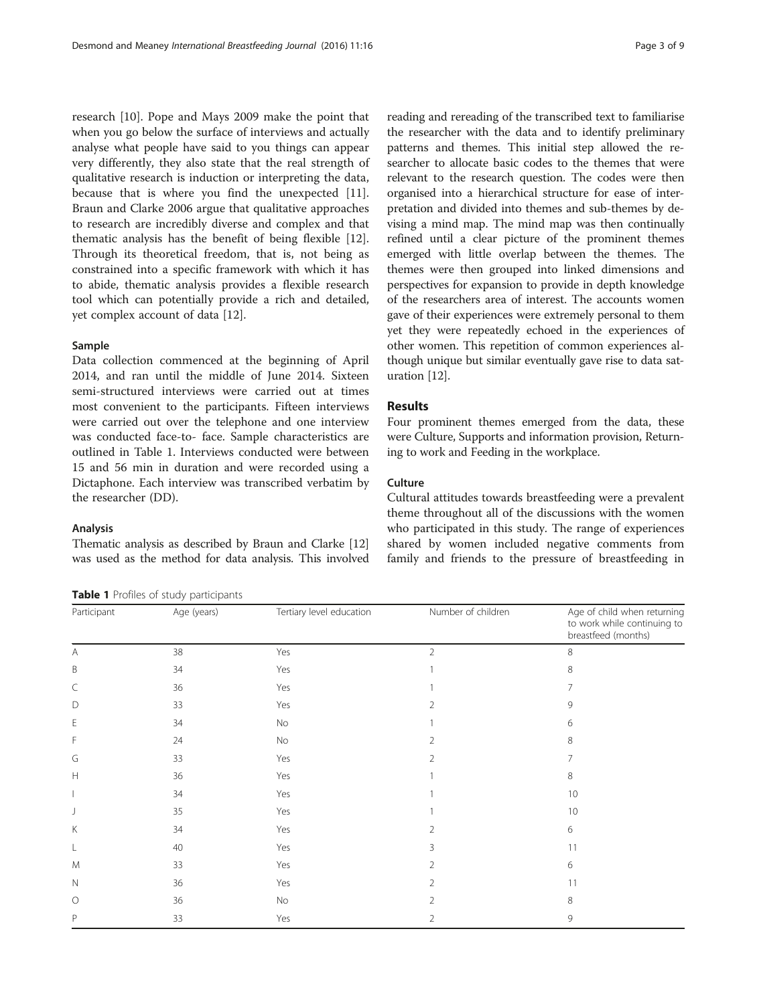research [[10](#page-8-0)]. Pope and Mays 2009 make the point that when you go below the surface of interviews and actually analyse what people have said to you things can appear very differently, they also state that the real strength of qualitative research is induction or interpreting the data, because that is where you find the unexpected [\[11](#page-8-0)]. Braun and Clarke 2006 argue that qualitative approaches to research are incredibly diverse and complex and that thematic analysis has the benefit of being flexible [\[12](#page-8-0)]. Through its theoretical freedom, that is, not being as constrained into a specific framework with which it has to abide, thematic analysis provides a flexible research tool which can potentially provide a rich and detailed, yet complex account of data [[12](#page-8-0)].

# Sample

Data collection commenced at the beginning of April 2014, and ran until the middle of June 2014. Sixteen semi-structured interviews were carried out at times most convenient to the participants. Fifteen interviews were carried out over the telephone and one interview was conducted face-to- face. Sample characteristics are outlined in Table 1. Interviews conducted were between 15 and 56 min in duration and were recorded using a Dictaphone. Each interview was transcribed verbatim by the researcher (DD).

# Analysis

Thematic analysis as described by Braun and Clarke [[12](#page-8-0)] was used as the method for data analysis. This involved

Table 1 Profiles of study participants

reading and rereading of the transcribed text to familiarise the researcher with the data and to identify preliminary patterns and themes. This initial step allowed the researcher to allocate basic codes to the themes that were relevant to the research question. The codes were then organised into a hierarchical structure for ease of interpretation and divided into themes and sub-themes by devising a mind map. The mind map was then continually refined until a clear picture of the prominent themes emerged with little overlap between the themes. The themes were then grouped into linked dimensions and perspectives for expansion to provide in depth knowledge of the researchers area of interest. The accounts women gave of their experiences were extremely personal to them yet they were repeatedly echoed in the experiences of other women. This repetition of common experiences although unique but similar eventually gave rise to data saturation [\[12](#page-8-0)].

# Results

Four prominent themes emerged from the data, these were Culture, Supports and information provision, Returning to work and Feeding in the workplace.

# **Culture**

Cultural attitudes towards breastfeeding were a prevalent theme throughout all of the discussions with the women who participated in this study. The range of experiences shared by women included negative comments from family and friends to the pressure of breastfeeding in

| Participant                                                                                                  | Age (years) | Tertiary level education | Number of children | Age of child when returning<br>to work while continuing to<br>breastfeed (months) |
|--------------------------------------------------------------------------------------------------------------|-------------|--------------------------|--------------------|-----------------------------------------------------------------------------------|
| Α                                                                                                            | 38          | Yes                      | $\overline{2}$     | 8                                                                                 |
| B                                                                                                            | 34          | Yes                      |                    | 8                                                                                 |
| C                                                                                                            | 36          | Yes                      |                    | 7                                                                                 |
| D                                                                                                            | 33          | Yes                      | $\overline{2}$     | 9                                                                                 |
| E                                                                                                            | 34          | No                       |                    | 6                                                                                 |
| F                                                                                                            | 24          | No                       | $\overline{2}$     | 8                                                                                 |
| G                                                                                                            | 33          | Yes                      | $\overline{2}$     | 7                                                                                 |
| $\mathsf{H}% _{\mathsf{H}}^{\mathsf{H}}(\mathcal{A})\equiv\mathsf{H}_{\mathsf{H}}^{\mathsf{H}}(\mathcal{A})$ | 36          | Yes                      |                    | 8                                                                                 |
|                                                                                                              | 34          | Yes                      |                    | 10                                                                                |
| J                                                                                                            | 35          | Yes                      |                    | 10                                                                                |
| К                                                                                                            | 34          | Yes                      | $\overline{2}$     | 6                                                                                 |
| L                                                                                                            | 40          | Yes                      | 3                  | 11                                                                                |
| M                                                                                                            | 33          | Yes                      | $\overline{2}$     | 6                                                                                 |
| $\mathbb N$                                                                                                  | 36          | Yes                      | $\overline{2}$     | 11                                                                                |
| $\bigcirc$                                                                                                   | 36          | No                       | $\overline{2}$     | 8                                                                                 |
| P                                                                                                            | 33          | Yes                      | $\overline{2}$     | 9                                                                                 |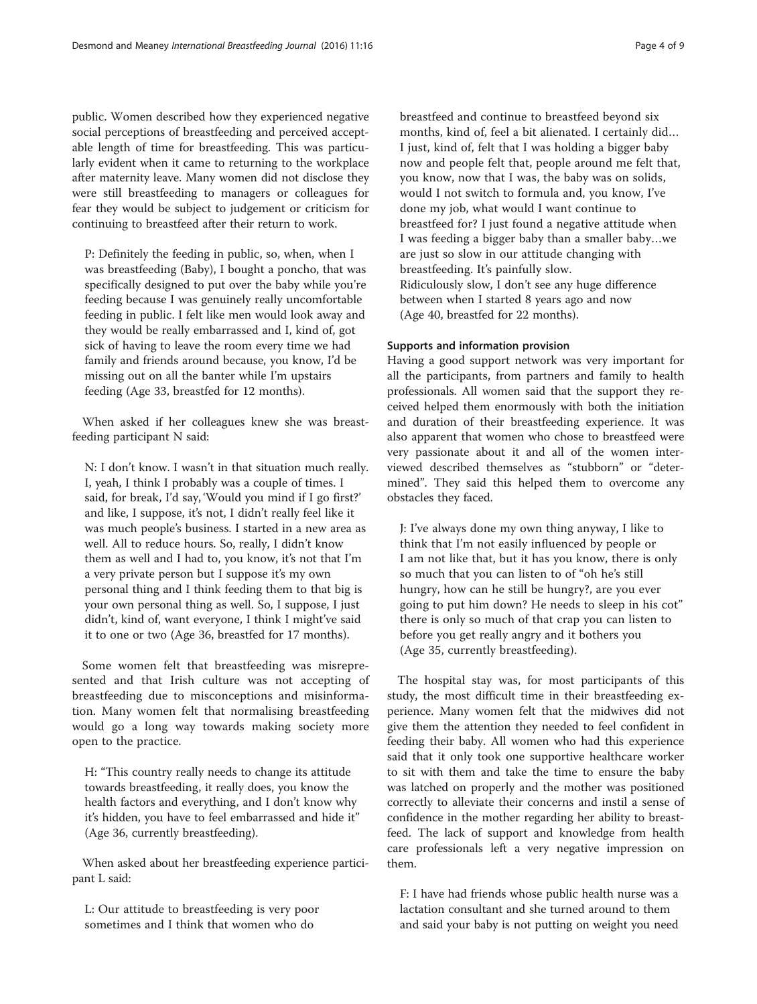public. Women described how they experienced negative social perceptions of breastfeeding and perceived acceptable length of time for breastfeeding. This was particularly evident when it came to returning to the workplace after maternity leave. Many women did not disclose they were still breastfeeding to managers or colleagues for fear they would be subject to judgement or criticism for continuing to breastfeed after their return to work.

P: Definitely the feeding in public, so, when, when I was breastfeeding (Baby), I bought a poncho, that was specifically designed to put over the baby while you're feeding because I was genuinely really uncomfortable feeding in public. I felt like men would look away and they would be really embarrassed and I, kind of, got sick of having to leave the room every time we had family and friends around because, you know, I'd be missing out on all the banter while I'm upstairs feeding (Age 33, breastfed for 12 months).

When asked if her colleagues knew she was breastfeeding participant N said:

N: I don't know. I wasn't in that situation much really. I, yeah, I think I probably was a couple of times. I said, for break, I'd say, 'Would you mind if I go first?' and like, I suppose, it's not, I didn't really feel like it was much people's business. I started in a new area as well. All to reduce hours. So, really, I didn't know them as well and I had to, you know, it's not that I'm a very private person but I suppose it's my own personal thing and I think feeding them to that big is your own personal thing as well. So, I suppose, I just didn't, kind of, want everyone, I think I might've said it to one or two (Age 36, breastfed for 17 months).

Some women felt that breastfeeding was misrepresented and that Irish culture was not accepting of breastfeeding due to misconceptions and misinformation. Many women felt that normalising breastfeeding would go a long way towards making society more open to the practice.

H: "This country really needs to change its attitude towards breastfeeding, it really does, you know the health factors and everything, and I don't know why it's hidden, you have to feel embarrassed and hide it" (Age 36, currently breastfeeding).

When asked about her breastfeeding experience participant L said:

L: Our attitude to breastfeeding is very poor sometimes and I think that women who do

breastfeed and continue to breastfeed beyond six months, kind of, feel a bit alienated. I certainly did… I just, kind of, felt that I was holding a bigger baby now and people felt that, people around me felt that, you know, now that I was, the baby was on solids, would I not switch to formula and, you know, I've done my job, what would I want continue to breastfeed for? I just found a negative attitude when I was feeding a bigger baby than a smaller baby…we are just so slow in our attitude changing with breastfeeding. It's painfully slow. Ridiculously slow, I don't see any huge difference between when I started 8 years ago and now (Age 40, breastfed for 22 months).

# Supports and information provision

Having a good support network was very important for all the participants, from partners and family to health professionals. All women said that the support they received helped them enormously with both the initiation and duration of their breastfeeding experience. It was also apparent that women who chose to breastfeed were very passionate about it and all of the women interviewed described themselves as "stubborn" or "determined". They said this helped them to overcome any obstacles they faced.

J: I've always done my own thing anyway, I like to think that I'm not easily influenced by people or I am not like that, but it has you know, there is only so much that you can listen to of "oh he's still hungry, how can he still be hungry?, are you ever going to put him down? He needs to sleep in his cot" there is only so much of that crap you can listen to before you get really angry and it bothers you (Age 35, currently breastfeeding).

The hospital stay was, for most participants of this study, the most difficult time in their breastfeeding experience. Many women felt that the midwives did not give them the attention they needed to feel confident in feeding their baby. All women who had this experience said that it only took one supportive healthcare worker to sit with them and take the time to ensure the baby was latched on properly and the mother was positioned correctly to alleviate their concerns and instil a sense of confidence in the mother regarding her ability to breastfeed. The lack of support and knowledge from health care professionals left a very negative impression on them.

F: I have had friends whose public health nurse was a lactation consultant and she turned around to them and said your baby is not putting on weight you need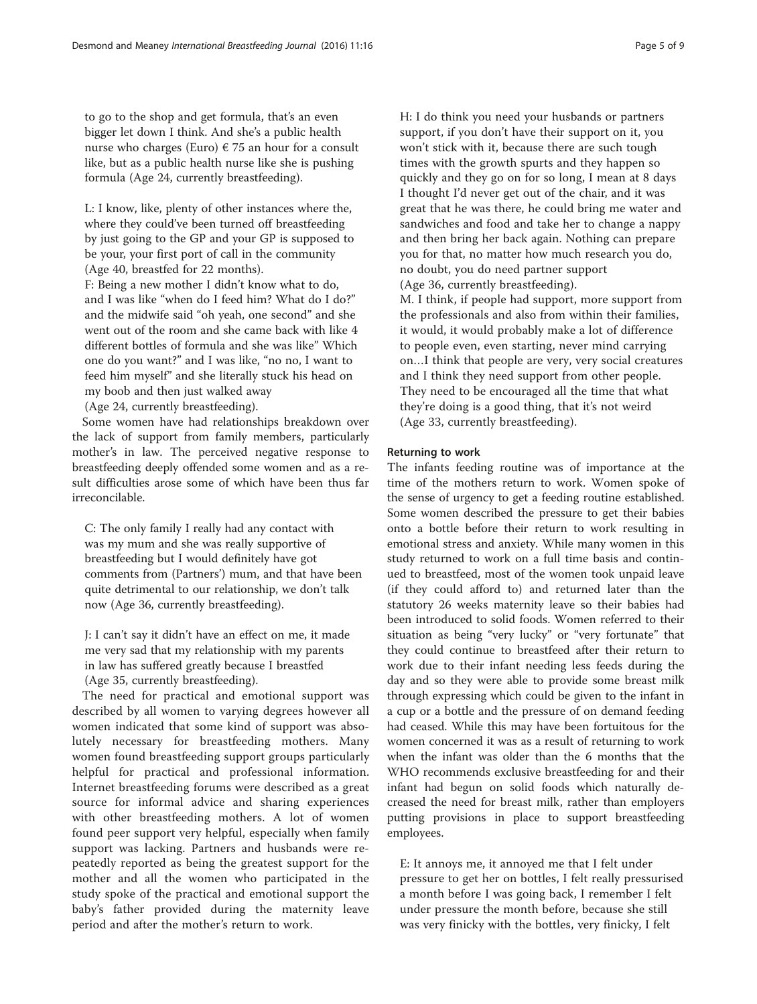to go to the shop and get formula, that's an even bigger let down I think. And she's a public health nurse who charges (Euro)  $\epsilon$  75 an hour for a consult like, but as a public health nurse like she is pushing formula (Age 24, currently breastfeeding).

L: I know, like, plenty of other instances where the, where they could've been turned off breastfeeding by just going to the GP and your GP is supposed to be your, your first port of call in the community (Age 40, breastfed for 22 months).

F: Being a new mother I didn't know what to do, and I was like "when do I feed him? What do I do?" and the midwife said "oh yeah, one second" and she went out of the room and she came back with like 4 different bottles of formula and she was like" Which one do you want?" and I was like, "no no, I want to feed him myself" and she literally stuck his head on my boob and then just walked away

(Age 24, currently breastfeeding).

Some women have had relationships breakdown over the lack of support from family members, particularly mother's in law. The perceived negative response to breastfeeding deeply offended some women and as a result difficulties arose some of which have been thus far irreconcilable.

C: The only family I really had any contact with was my mum and she was really supportive of breastfeeding but I would definitely have got comments from (Partners') mum, and that have been quite detrimental to our relationship, we don't talk now (Age 36, currently breastfeeding).

J: I can't say it didn't have an effect on me, it made me very sad that my relationship with my parents in law has suffered greatly because I breastfed (Age 35, currently breastfeeding).

The need for practical and emotional support was described by all women to varying degrees however all women indicated that some kind of support was absolutely necessary for breastfeeding mothers. Many women found breastfeeding support groups particularly helpful for practical and professional information. Internet breastfeeding forums were described as a great source for informal advice and sharing experiences with other breastfeeding mothers. A lot of women found peer support very helpful, especially when family support was lacking. Partners and husbands were repeatedly reported as being the greatest support for the mother and all the women who participated in the study spoke of the practical and emotional support the baby's father provided during the maternity leave period and after the mother's return to work.

H: I do think you need your husbands or partners support, if you don't have their support on it, you won't stick with it, because there are such tough times with the growth spurts and they happen so quickly and they go on for so long, I mean at 8 days I thought I'd never get out of the chair, and it was great that he was there, he could bring me water and sandwiches and food and take her to change a nappy and then bring her back again. Nothing can prepare you for that, no matter how much research you do, no doubt, you do need partner support (Age 36, currently breastfeeding).

M. I think, if people had support, more support from the professionals and also from within their families, it would, it would probably make a lot of difference to people even, even starting, never mind carrying on…I think that people are very, very social creatures and I think they need support from other people. They need to be encouraged all the time that what they're doing is a good thing, that it's not weird (Age 33, currently breastfeeding).

# Returning to work

The infants feeding routine was of importance at the time of the mothers return to work. Women spoke of the sense of urgency to get a feeding routine established. Some women described the pressure to get their babies onto a bottle before their return to work resulting in emotional stress and anxiety. While many women in this study returned to work on a full time basis and continued to breastfeed, most of the women took unpaid leave (if they could afford to) and returned later than the statutory 26 weeks maternity leave so their babies had been introduced to solid foods. Women referred to their situation as being "very lucky" or "very fortunate" that they could continue to breastfeed after their return to work due to their infant needing less feeds during the day and so they were able to provide some breast milk through expressing which could be given to the infant in a cup or a bottle and the pressure of on demand feeding had ceased. While this may have been fortuitous for the women concerned it was as a result of returning to work when the infant was older than the 6 months that the WHO recommends exclusive breastfeeding for and their infant had begun on solid foods which naturally decreased the need for breast milk, rather than employers putting provisions in place to support breastfeeding employees.

E: It annoys me, it annoyed me that I felt under pressure to get her on bottles, I felt really pressurised a month before I was going back, I remember I felt under pressure the month before, because she still was very finicky with the bottles, very finicky, I felt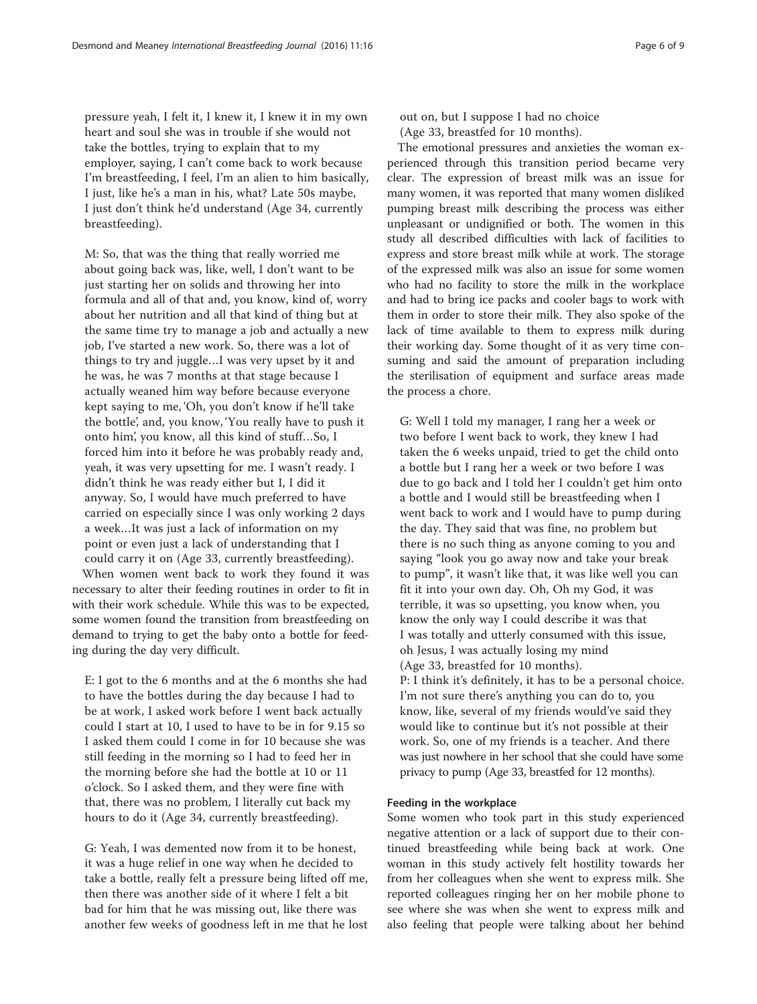pressure yeah, I felt it, I knew it, I knew it in my own heart and soul she was in trouble if she would not take the bottles, trying to explain that to my employer, saying, I can't come back to work because I'm breastfeeding, I feel, I'm an alien to him basically, I just, like he's a man in his, what? Late 50s maybe, I just don't think he'd understand (Age 34, currently breastfeeding).

M: So, that was the thing that really worried me about going back was, like, well, I don't want to be just starting her on solids and throwing her into formula and all of that and, you know, kind of, worry about her nutrition and all that kind of thing but at the same time try to manage a job and actually a new job, I've started a new work. So, there was a lot of things to try and juggle…I was very upset by it and he was, he was 7 months at that stage because I actually weaned him way before because everyone kept saying to me, 'Oh, you don't know if he'll take the bottle', and, you know, 'You really have to push it onto him', you know, all this kind of stuff…So, I forced him into it before he was probably ready and, yeah, it was very upsetting for me. I wasn't ready. I didn't think he was ready either but I, I did it anyway. So, I would have much preferred to have carried on especially since I was only working 2 days a week…It was just a lack of information on my point or even just a lack of understanding that I could carry it on (Age 33, currently breastfeeding).

When women went back to work they found it was necessary to alter their feeding routines in order to fit in with their work schedule. While this was to be expected, some women found the transition from breastfeeding on demand to trying to get the baby onto a bottle for feeding during the day very difficult.

E: I got to the 6 months and at the 6 months she had to have the bottles during the day because I had to be at work, I asked work before I went back actually could I start at 10, I used to have to be in for 9.15 so I asked them could I come in for 10 because she was still feeding in the morning so I had to feed her in the morning before she had the bottle at 10 or 11 o'clock. So I asked them, and they were fine with that, there was no problem, I literally cut back my hours to do it (Age 34, currently breastfeeding).

G: Yeah, I was demented now from it to be honest, it was a huge relief in one way when he decided to take a bottle, really felt a pressure being lifted off me, then there was another side of it where I felt a bit bad for him that he was missing out, like there was another few weeks of goodness left in me that he lost out on, but I suppose I had no choice (Age 33, breastfed for 10 months).

The emotional pressures and anxieties the woman experienced through this transition period became very clear. The expression of breast milk was an issue for many women, it was reported that many women disliked pumping breast milk describing the process was either unpleasant or undignified or both. The women in this study all described difficulties with lack of facilities to express and store breast milk while at work. The storage of the expressed milk was also an issue for some women who had no facility to store the milk in the workplace and had to bring ice packs and cooler bags to work with them in order to store their milk. They also spoke of the lack of time available to them to express milk during their working day. Some thought of it as very time consuming and said the amount of preparation including the sterilisation of equipment and surface areas made the process a chore.

G: Well I told my manager, I rang her a week or two before I went back to work, they knew I had taken the 6 weeks unpaid, tried to get the child onto a bottle but I rang her a week or two before I was due to go back and I told her I couldn't get him onto a bottle and I would still be breastfeeding when I went back to work and I would have to pump during the day. They said that was fine, no problem but there is no such thing as anyone coming to you and saying "look you go away now and take your break to pump", it wasn't like that, it was like well you can fit it into your own day. Oh, Oh my God, it was terrible, it was so upsetting, you know when, you know the only way I could describe it was that I was totally and utterly consumed with this issue, oh Jesus, I was actually losing my mind (Age 33, breastfed for 10 months). P: I think it's definitely, it has to be a personal choice. I'm not sure there's anything you can do to, you know, like, several of my friends would've said they would like to continue but it's not possible at their work. So, one of my friends is a teacher. And there was just nowhere in her school that she could have some privacy to pump (Age 33, breastfed for 12 months).

# Feeding in the workplace

Some women who took part in this study experienced negative attention or a lack of support due to their continued breastfeeding while being back at work. One woman in this study actively felt hostility towards her from her colleagues when she went to express milk. She reported colleagues ringing her on her mobile phone to see where she was when she went to express milk and also feeling that people were talking about her behind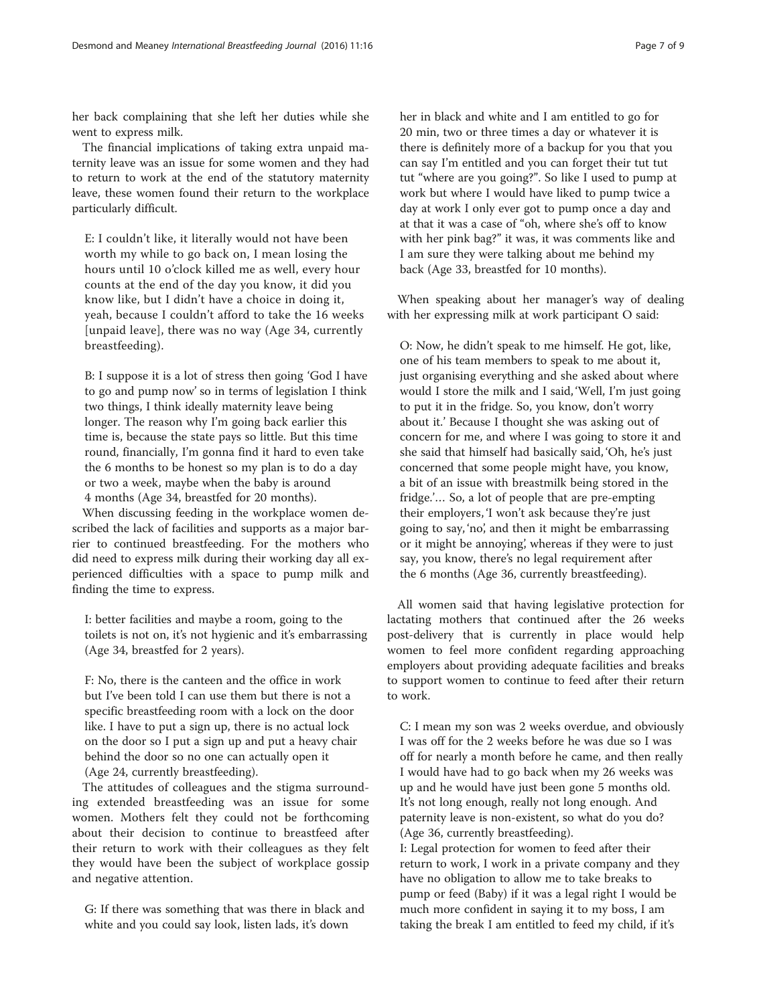her back complaining that she left her duties while she went to express milk.

The financial implications of taking extra unpaid maternity leave was an issue for some women and they had to return to work at the end of the statutory maternity leave, these women found their return to the workplace particularly difficult.

E: I couldn't like, it literally would not have been worth my while to go back on, I mean losing the hours until 10 o'clock killed me as well, every hour counts at the end of the day you know, it did you know like, but I didn't have a choice in doing it, yeah, because I couldn't afford to take the 16 weeks [unpaid leave], there was no way (Age 34, currently breastfeeding).

B: I suppose it is a lot of stress then going 'God I have to go and pump now' so in terms of legislation I think two things, I think ideally maternity leave being longer. The reason why I'm going back earlier this time is, because the state pays so little. But this time round, financially, I'm gonna find it hard to even take the 6 months to be honest so my plan is to do a day or two a week, maybe when the baby is around 4 months (Age 34, breastfed for 20 months).

When discussing feeding in the workplace women described the lack of facilities and supports as a major barrier to continued breastfeeding. For the mothers who did need to express milk during their working day all experienced difficulties with a space to pump milk and finding the time to express.

I: better facilities and maybe a room, going to the toilets is not on, it's not hygienic and it's embarrassing (Age 34, breastfed for 2 years).

F: No, there is the canteen and the office in work but I've been told I can use them but there is not a specific breastfeeding room with a lock on the door like. I have to put a sign up, there is no actual lock on the door so I put a sign up and put a heavy chair behind the door so no one can actually open it (Age 24, currently breastfeeding).

The attitudes of colleagues and the stigma surrounding extended breastfeeding was an issue for some women. Mothers felt they could not be forthcoming about their decision to continue to breastfeed after their return to work with their colleagues as they felt they would have been the subject of workplace gossip and negative attention.

G: If there was something that was there in black and white and you could say look, listen lads, it's down

her in black and white and I am entitled to go for 20 min, two or three times a day or whatever it is there is definitely more of a backup for you that you can say I'm entitled and you can forget their tut tut tut "where are you going?". So like I used to pump at work but where I would have liked to pump twice a day at work I only ever got to pump once a day and at that it was a case of "oh, where she's off to know with her pink bag?" it was, it was comments like and I am sure they were talking about me behind my back (Age 33, breastfed for 10 months).

When speaking about her manager's way of dealing with her expressing milk at work participant O said:

O: Now, he didn't speak to me himself. He got, like, one of his team members to speak to me about it, just organising everything and she asked about where would I store the milk and I said, 'Well, I'm just going to put it in the fridge. So, you know, don't worry about it.' Because I thought she was asking out of concern for me, and where I was going to store it and she said that himself had basically said, 'Oh, he's just concerned that some people might have, you know, a bit of an issue with breastmilk being stored in the fridge.'… So, a lot of people that are pre-empting their employers, 'I won't ask because they're just going to say, 'no', and then it might be embarrassing or it might be annoying', whereas if they were to just say, you know, there's no legal requirement after the 6 months (Age 36, currently breastfeeding).

All women said that having legislative protection for lactating mothers that continued after the 26 weeks post-delivery that is currently in place would help women to feel more confident regarding approaching employers about providing adequate facilities and breaks to support women to continue to feed after their return to work.

C: I mean my son was 2 weeks overdue, and obviously I was off for the 2 weeks before he was due so I was off for nearly a month before he came, and then really I would have had to go back when my 26 weeks was up and he would have just been gone 5 months old. It's not long enough, really not long enough. And paternity leave is non-existent, so what do you do? (Age 36, currently breastfeeding). I: Legal protection for women to feed after their return to work, I work in a private company and they have no obligation to allow me to take breaks to pump or feed (Baby) if it was a legal right I would be much more confident in saying it to my boss, I am taking the break I am entitled to feed my child, if it's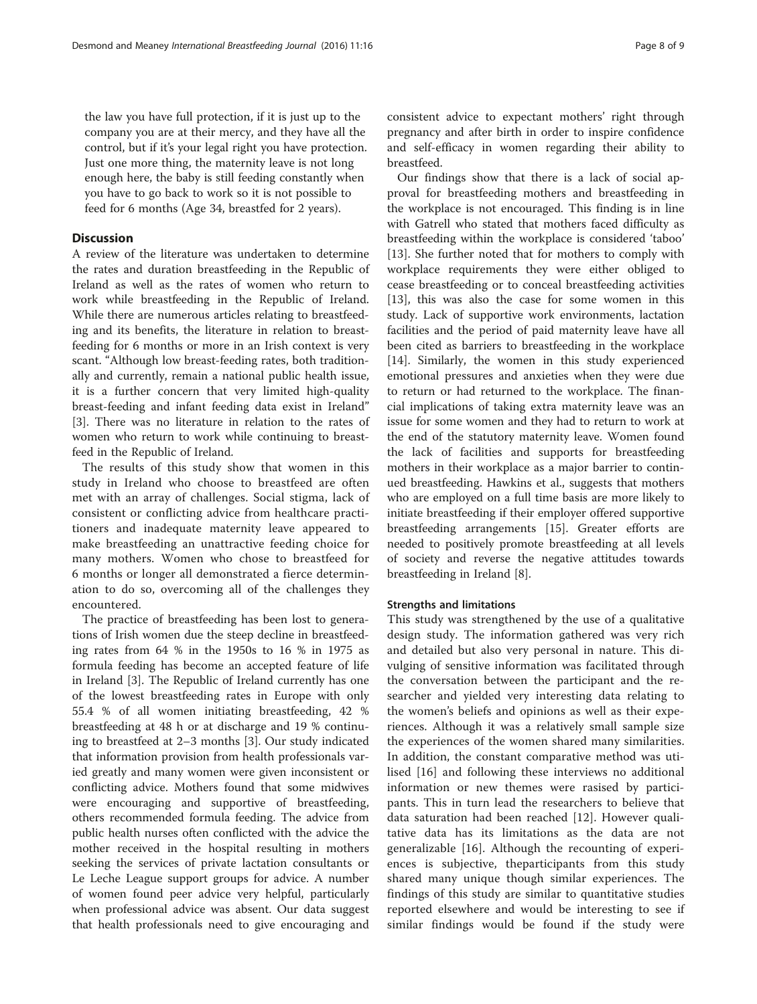the law you have full protection, if it is just up to the company you are at their mercy, and they have all the control, but if it's your legal right you have protection. Just one more thing, the maternity leave is not long enough here, the baby is still feeding constantly when you have to go back to work so it is not possible to feed for 6 months (Age 34, breastfed for 2 years).

# Discussion

A review of the literature was undertaken to determine the rates and duration breastfeeding in the Republic of Ireland as well as the rates of women who return to work while breastfeeding in the Republic of Ireland. While there are numerous articles relating to breastfeeding and its benefits, the literature in relation to breastfeeding for 6 months or more in an Irish context is very scant. "Although low breast-feeding rates, both traditionally and currently, remain a national public health issue, it is a further concern that very limited high-quality breast-feeding and infant feeding data exist in Ireland" [[3\]](#page-8-0). There was no literature in relation to the rates of women who return to work while continuing to breastfeed in the Republic of Ireland.

The results of this study show that women in this study in Ireland who choose to breastfeed are often met with an array of challenges. Social stigma, lack of consistent or conflicting advice from healthcare practitioners and inadequate maternity leave appeared to make breastfeeding an unattractive feeding choice for many mothers. Women who chose to breastfeed for 6 months or longer all demonstrated a fierce determination to do so, overcoming all of the challenges they encountered.

The practice of breastfeeding has been lost to generations of Irish women due the steep decline in breastfeeding rates from 64 % in the 1950s to 16 % in 1975 as formula feeding has become an accepted feature of life in Ireland [\[3](#page-8-0)]. The Republic of Ireland currently has one of the lowest breastfeeding rates in Europe with only 55.4 % of all women initiating breastfeeding, 42 % breastfeeding at 48 h or at discharge and 19 % continuing to breastfeed at 2–3 months [\[3](#page-8-0)]. Our study indicated that information provision from health professionals varied greatly and many women were given inconsistent or conflicting advice. Mothers found that some midwives were encouraging and supportive of breastfeeding, others recommended formula feeding. The advice from public health nurses often conflicted with the advice the mother received in the hospital resulting in mothers seeking the services of private lactation consultants or Le Leche League support groups for advice. A number of women found peer advice very helpful, particularly when professional advice was absent. Our data suggest that health professionals need to give encouraging and consistent advice to expectant mothers' right through pregnancy and after birth in order to inspire confidence and self-efficacy in women regarding their ability to breastfeed.

Our findings show that there is a lack of social approval for breastfeeding mothers and breastfeeding in the workplace is not encouraged. This finding is in line with Gatrell who stated that mothers faced difficulty as breastfeeding within the workplace is considered 'taboo' [[13\]](#page-8-0). She further noted that for mothers to comply with workplace requirements they were either obliged to cease breastfeeding or to conceal breastfeeding activities [[13\]](#page-8-0), this was also the case for some women in this study. Lack of supportive work environments, lactation facilities and the period of paid maternity leave have all been cited as barriers to breastfeeding in the workplace [[14\]](#page-8-0). Similarly, the women in this study experienced emotional pressures and anxieties when they were due to return or had returned to the workplace. The financial implications of taking extra maternity leave was an issue for some women and they had to return to work at the end of the statutory maternity leave. Women found the lack of facilities and supports for breastfeeding mothers in their workplace as a major barrier to continued breastfeeding. Hawkins et al., suggests that mothers who are employed on a full time basis are more likely to initiate breastfeeding if their employer offered supportive breastfeeding arrangements [\[15](#page-8-0)]. Greater efforts are needed to positively promote breastfeeding at all levels of society and reverse the negative attitudes towards breastfeeding in Ireland [[8\]](#page-8-0).

# Strengths and limitations

This study was strengthened by the use of a qualitative design study. The information gathered was very rich and detailed but also very personal in nature. This divulging of sensitive information was facilitated through the conversation between the participant and the researcher and yielded very interesting data relating to the women's beliefs and opinions as well as their experiences. Although it was a relatively small sample size the experiences of the women shared many similarities. In addition, the constant comparative method was utilised [[16\]](#page-8-0) and following these interviews no additional information or new themes were rasised by participants. This in turn lead the researchers to believe that data saturation had been reached [[12](#page-8-0)]. However qualitative data has its limitations as the data are not generalizable [\[16](#page-8-0)]. Although the recounting of experiences is subjective, theparticipants from this study shared many unique though similar experiences. The findings of this study are similar to quantitative studies reported elsewhere and would be interesting to see if similar findings would be found if the study were